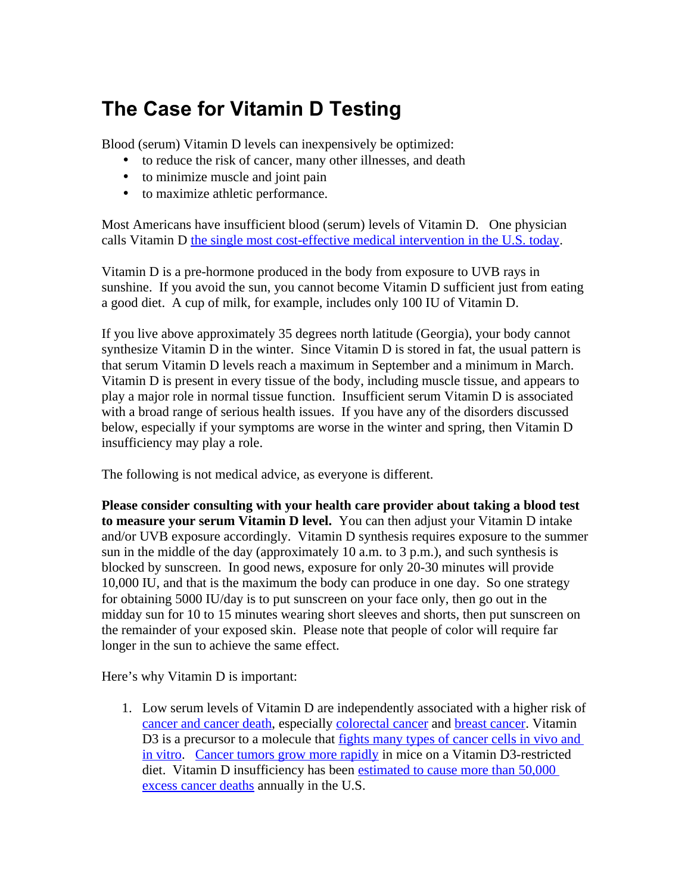## **The Case for Vitamin D Testing**

Blood (serum) Vitamin D levels can inexpensively be optimized:

- to reduce the risk of cancer, many other illnesses, and death
- to minimize muscle and joint pain
- to maximize athletic performance.

Most Americans have insufficient blood (serum) levels of Vitamin D. One physician calls Vitamin D [the single most cost-effective medical intervention in the U.S. today.](http://www.minnesotamedicine.com/PastIssues/November2009/ClinicalWeatherorNot/tabid/3243/Default.aspx)

Vitamin D is a pre-hormone produced in the body from exposure to UVB rays in sunshine. If you avoid the sun, you cannot become Vitamin D sufficient just from eating a good diet. A cup of milk, for example, includes only 100 IU of Vitamin D.

If you live above approximately 35 degrees north latitude (Georgia), your body cannot synthesize Vitamin D in the winter. Since Vitamin D is stored in fat, the usual pattern is that serum Vitamin D levels reach a maximum in September and a minimum in March. Vitamin D is present in every tissue of the body, including muscle tissue, and appears to play a major role in normal tissue function. Insufficient serum Vitamin D is associated with a broad range of serious health issues. If you have any of the disorders discussed below, especially if your symptoms are worse in the winter and spring, then Vitamin D insufficiency may play a role.

The following is not medical advice, as everyone is different.

**Please consider consulting with your health care provider about taking a blood test to measure your serum Vitamin D level.** You can then adjust your Vitamin D intake and/or UVB exposure accordingly. Vitamin D synthesis requires exposure to the summer sun in the middle of the day (approximately 10 a.m. to 3 p.m.), and such synthesis is blocked by sunscreen. In good news, exposure for only 20-30 minutes will provide 10,000 IU, and that is the maximum the body can produce in one day. So one strategy for obtaining 5000 IU/day is to put sunscreen on your face only, then go out in the midday sun for 10 to 15 minutes wearing short sleeves and shorts, then put sunscreen on the remainder of your exposed skin. Please note that people of color will require far longer in the sun to achieve the same effect.

Here's why Vitamin D is important:

1. Low serum levels of Vitamin D are independently associated with a higher risk of [cancer and cancer death,](http://jnci.oxfordjournals.org/cgi/content/full/98/7/451?ijkey=600aad18dbfe6a37d522074b6a2954e53a479b08) especially [colorectal cancer](http://www.ncbi.nlm.nih.gov/pubmed/19392870?itool=EntrezSystem2.PEntrez.Pubmed.Pubmed_ResultsPanel.Pubmed_RVDocSum&ordinalpos=12) and [breast cancer.](http://cancerpreventionresearch.aacrjournals.org/cgi/content/abstract/2/6/598) Vitamin D3 is a precursor to a molecule that [fights many types of cancer cells in vivo and](http://www.wjgnet.com/1007-9327/15/3349.asp) [in vitro.](http://www.wjgnet.com/1007-9327/15/3349.asp) [Cancer tumors grow more rapidly](http://www.ncbi.nlm.nih.gov/pubmed/19811414?itool=EntrezSystem2.PEntrez.Pubmed.Pubmed_ResultsPanel.Pubmed_RVDocSum&ordinalpos=1) in mice on a Vitamin D3-restricted diet. Vitamin D insufficiency has been [estimated to cause more than 50,000](http://www.ncbi.nlm.nih.gov/pubmed/16159309?itool=EntrezSystem2.PEntrez.Pubmed.Pubmed_ResultsPanel.Pubmed_RVDocSum&ordinalpos=1) [excess cancer deaths](http://www.ncbi.nlm.nih.gov/pubmed/16159309?itool=EntrezSystem2.PEntrez.Pubmed.Pubmed_ResultsPanel.Pubmed_RVDocSum&ordinalpos=1) annually in the U.S.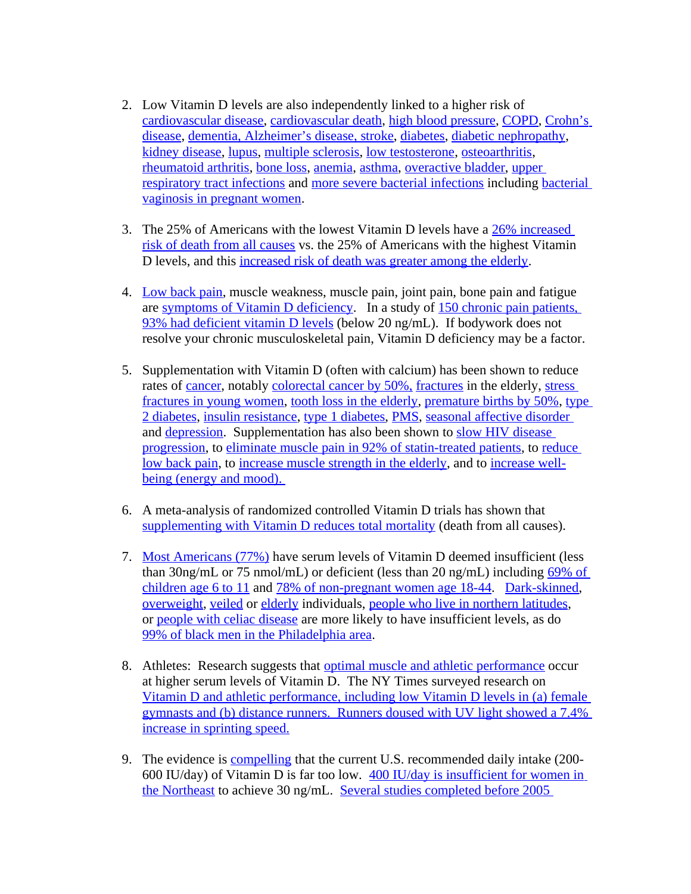- 2. Low Vitamin D levels are also independently linked to a higher risk of [cardiovascular disease,](http://www.ncbi.nlm.nih.gov/pubmed/19451805?itool=EntrezSystem2.PEntrez.Pubmed.Pubmed_ResultsPanel.Pubmed_RVDocSum&ordinalpos=9) [cardiovascular death,](http://www.ncbi.nlm.nih.gov/pubmed/19549021?itool=EntrezSystem2.PEntrez.Pubmed.Pubmed_ResultsPanel.Pubmed_RVDocSum&ordinalpos=3) [high blood pressure,](http://hyper.ahajournals.org/cgi/content/abstract/49/5/1063?ijkey=bad74299d229c8dd3380ff38fbcc2a31b6dfdb8b&keytype2=tf_ipsecsha) [COPD,](http://thorax.bmj.com/content/early/2009/12/08/thx.2009.120659.abstract) [Crohn's](http://www.ncbi.nlm.nih.gov/pubmed/19797809?itool=EntrezSystem2.PEntrez.Pubmed.Pubmed_ResultsPanel.Pubmed_RVDocSum&ordinalpos=1) [disease,](http://www.ncbi.nlm.nih.gov/pubmed/19797809?itool=EntrezSystem2.PEntrez.Pubmed.Pubmed_ResultsPanel.Pubmed_RVDocSum&ordinalpos=1) [dementia, Alzheimer's disease, stroke,](http://www.neurology.org/cgi/content/abstract/74/1/18) [diabetes,](http://www.futuremedicine.com/doi/abs/10.2217/14796678.5.1.15) [diabetic nephropathy,](http://www.jabfm.org/cgi/content/full/22/5/521) [kidney disease,](http://jasn.asnjournals.org/cgi/content/abstract/20/12/2631) [lupus,](http://www.ncbi.nlm.nih.gov/pubmed/19838436?itool=EntrezSystem2.PEntrez.Pubmed.Pubmed_ResultsPanel.Pubmed_RVDocSum&ordinalpos=18) [multiple sclerosis,](http://linkinghub.elsevier.com/retrieve/pii/S0022510X09008545) [low testosterone,](http://www3.interscience.wiley.com/journal/123227538/abstract) [osteoarthritis,](http://journals.lww.com/jclinrheum/pages/articleviewer.aspx?year=2009&issue=08000&article=00005&type=abstract) [rheumatoid arthritis,](http://www.ncbi.nlm.nih.gov/pubmed/17207389?itool=EntrezSystem2.PEntrez.Pubmed.Pubmed_ResultsPanel.Pubmed_RVDocSum&ordinalpos=4) [bone loss,](http://jcem.endojournals.org/cgi/content/abstract/94/8/2773) [anemia,](http://www.springerlink.com/content/a4722230888951m1/) [asthma,](http://ajrccm.atsjournals.org/cgi/content/abstract/179/9/765) [overactive bladder,](http://www.ncbi.nlm.nih.gov/pubmed/15098215) [upper](http://archinte.ama-assn.org/cgi/content/abstract/169/4/384) [respiratory tract infections](http://archinte.ama-assn.org/cgi/content/abstract/169/4/384) and [more severe bacterial infections](http://journals.cambridge.org/action/displayAbstract?fromPage=online&aid=7030088) including [bacterial](http://www.ncbi.nlm.nih.gov/pubmed/19357214) [vaginosis in pregnant women.](http://www.ncbi.nlm.nih.gov/pubmed/19357214)
- 3. The 25% of Americans with the lowest Vitamin D levels have a [26% increased](http://archinte.ama-assn.org/cgi/content/full/168/15/1629) [risk of death from all causes](http://archinte.ama-assn.org/cgi/content/full/168/15/1629) vs. the 25% of Americans with the highest Vitamin D levels, and this [increased risk of death was greater among the elderly.](http://www.ncbi.nlm.nih.gov/pubmed/19549021?itool=EntrezSystem2.PEntrez.Pubmed.Pubmed_ResultsPanel.Pubmed_RVDocSum&ordinalpos=3)
- 4. [Low back pain,](http://www.jabfm.org/cgi/content/full/22/1/69#T1) muscle weakness, muscle pain, joint pain, bone pain and fatigue are [symptoms of Vitamin D deficiency.](http://www.ncbi.nlm.nih.gov/pubmed/19835345?itool=EntrezSystem2.PEntrez.Pubmed.Pubmed_ResultsPanel.Pubmed_RVDocSum&ordinalpos=23) In a study of [150 chronic pain patients,](http://www.mayoclinicproceedings.com/content/78/12/1463.long) [93% had deficient vitamin D levels](http://www.mayoclinicproceedings.com/content/78/12/1463.long) (below 20 ng/mL). If bodywork does not resolve your chronic musculoskeletal pain, Vitamin D deficiency may be a factor.
- 5. Supplementation with Vitamin D (often with calcium) has been shown to reduce rates of [cancer,](http://www.ajcn.org/cgi/content/full/85/6/1586) notably [colorectal cancer by 50%,](http://www.ncbi.nlm.nih.gov/pubmed/16236494?itool=EntrezSystem2.PEntrez.Pubmed.Pubmed_ResultsPanel.Pubmed_RVDocSum&ordinalpos=2) [fractures](http://archinte.ama-assn.org/cgi/content/short/169/6/551) in the elderly, [stress](http://www.jbmronline.org/doi/abs/10.1359/jbmr.080102?url_ver=Z39.88-2003&rfr_id=ori:rid:crossref.org&rfr_dat=cr_pub%3Dncbi.nlm.nih.gov) [fractures in young women,](http://www.jbmronline.org/doi/abs/10.1359/jbmr.080102?url_ver=Z39.88-2003&rfr_id=ori:rid:crossref.org&rfr_dat=cr_pub%3Dncbi.nlm.nih.gov) [tooth loss in the elderly,](http://linkinghub.elsevier.com/retrieve/pii/S0002934301008993) [premature births by 50%,](http://www.timesonline.co.uk/tol/news/uk/scotland/article6868729.ece) [type](http://care.diabetesjournals.org/content/29/3/650.full) [2 diabetes,](http://care.diabetesjournals.org/content/29/3/650.full) [insulin resistance,](http://journals.cambridge.org/action/displayAbstract?fromPage=online&aid=6244408) [type 1 diabetes,](http://adc.bmj.com/content/93/6/512.long) [PMS,](http://archinte.ama-assn.org/cgi/content/full/165/11/1246) [seasonal affective disorder](http://www.ncbi.nlm.nih.gov/pubmed/10888476?itool=EntrezSystem2.PEntrez.Pubmed.Pubmed_ResultsPanel.Pubmed_RVDocSum&ordinalpos=8) and [depression.](http://www.ncbi.nlm.nih.gov/pubmed/18793245?itool=EntrezSystem2.PEntrez.Pubmed.Pubmed_ResultsPanel.Pubmed_RVDocSum&ordinalpos=7) Supplementation has also been shown to [slow HIV disease](http://www.ncbi.nlm.nih.gov/pmc/articles/PMC2808247/?tool=pubmed) [progression,](http://www.ncbi.nlm.nih.gov/pmc/articles/PMC2808247/?tool=pubmed) to [eliminate muscle pain in 92% of statin-treated patients,](http://linkinghub.elsevier.com/retrieve/pii/S1931524408002727) to [reduce](http://www.ncbi.nlm.nih.gov/pubmed/12544936?dopt=Abstract) [low back pain,](http://www.ncbi.nlm.nih.gov/pubmed/12544936?dopt=Abstract) to [increase muscle strength in the elderly,](http://content.karger.com/produktedb/produkte.asp?typ=fulltext&file=000235874) and to [increase well](http://www.ncbi.nlm.nih.gov/pmc/articles/PMC506781/?tool=pubmed)[being \(energy and mood\).](http://www.ncbi.nlm.nih.gov/pmc/articles/PMC506781/?tool=pubmed)
- 6. A meta-analysis of randomized controlled Vitamin D trials has shown that [supplementing with Vitamin D reduces total mortality](http://archinte.ama-assn.org/cgi/content/full/167/16/1730) (death from all causes).
- 7. [Most Americans \(77%\)](http://archinte.ama-assn.org/cgi/content/abstract/169/6/626) have serum levels of Vitamin D deemed insufficient (less than 30ng/mL or 75 nmol/mL) or deficient (less than 20 ng/mL) including [69% of](http://pediatrics.aappublications.org/cgi/content/abstract/124/5/1404) [children age 6 to 11](http://pediatrics.aappublications.org/cgi/content/abstract/124/5/1404) and [78% of non-pregnant women age 18-44.](http://www.ajog.org/article/S0002-9378(09)02210-8/abstract) [Dark-skinned,](http://www.ajcn.org/cgi/content/full/86/6/1657) [overweight,](http://www.amjmed.com/article/S0002-9343(09)00534-8/abstract) [veiled](http://aace.metapress.com/app/home/contribution.asp?referrer=parent&backto=issue,6,18;journal,9,107;linkingpublicationresults,1:300404,1) or [elderly](http://edrv.endojournals.org/cgi/content/full/22/4/477) individuals, [people who live in northern latitudes,](http://www.ncbi.nlm.nih.gov/pubmed/2839537) or [people with celiac disease](http://www.wholelifenutrition.net/sitebuildercontent/sitebuilderfiles/celiacdisease.pdf) are more likely to have insufficient levels, as do [99% of black men in the Philadelphia area.](http://www.ncbi.nlm.nih.gov/pmc/articles/PMC2708155/?tool=pubmed)
- 8. Athletes: Research suggests that [optimal muscle and athletic performance](http://cat.inist.fr/?aModele=afficheN&cpsidt=21385006) occur at higher serum levels of Vitamin D. The NY Times surveyed research on [Vitamin D and athletic performance, including low Vitamin D levels in \(a\) female](http://well.blogs.nytimes.com/2009/09/23/phys-ed-can-vitamin-d-improve-your-athletic-performance/#more-14511) [gymnasts and \(b\) distance runners. Runners doused with UV light showed a 7.4%](http://well.blogs.nytimes.com/2009/09/23/phys-ed-can-vitamin-d-improve-your-athletic-performance/#more-14511) [increase in sprinting speed.](http://well.blogs.nytimes.com/2009/09/23/phys-ed-can-vitamin-d-improve-your-athletic-performance/#more-14511)
- 9. The evidence is [compelling](http://www.ajcn.org/cgi/content/full/85/3/649) that the current U.S. recommended daily intake (200- 600 IU/day) of Vitamin D is far too low. [400 IU/day is insufficient for women in](http://jco.ascopubs.org/cgi/content/abstract/27/13/2151) [the Northeast](http://jco.ascopubs.org/cgi/content/abstract/27/13/2151) to achieve 30 ng/mL. [Several studies completed before 2005](http://jn.nutrition.org/cgi/content/full/135/2/317)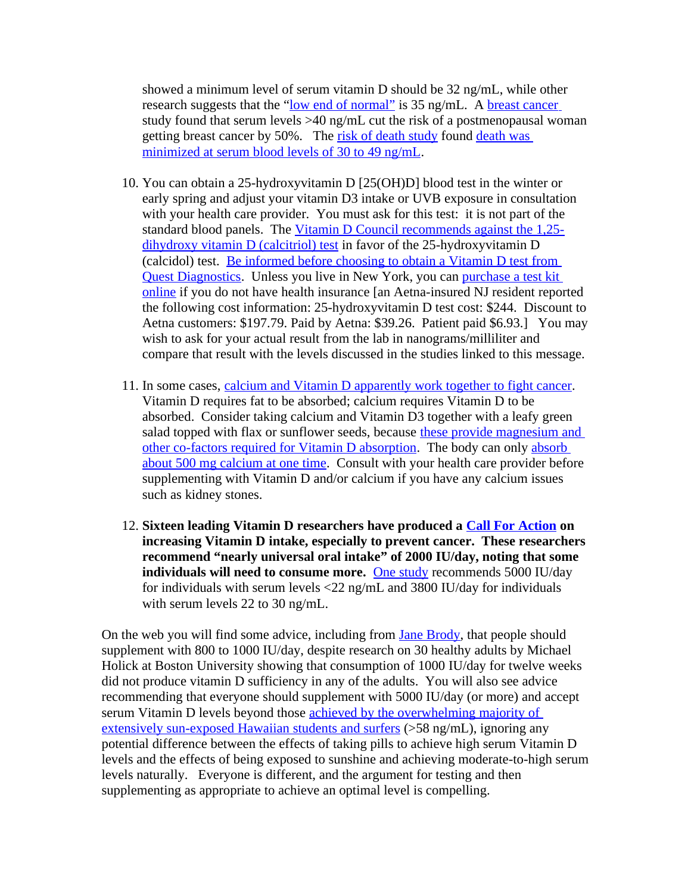showed a minimum level of serum vitamin D should be 32 ng/mL, while other research suggests that the ["low end of normal"](http://www.ajcn.org/cgi/content/full/87/6/1738) is 35 ng/mL. A [breast cancer](http://cancerpreventionresearch.aacrjournals.org/cgi/content/abstract/2/6/598) study found that serum levels >40 ng/mL cut the risk of a postmenopausal woman getting breast cancer by 50%. The [risk of death study](http://archinte.ama-assn.org/cgi/content/full/168/15/1629) found [death was](http://archinte.ama-assn.org/cgi/content/full/168/15/1629/IOI80065F1) [minimized at serum blood levels of 30 to 49 ng/mL.](http://archinte.ama-assn.org/cgi/content/full/168/15/1629/IOI80065F1)

- 10. You can obtain a 25-hydroxyvitamin D [25(OH)D] blood test in the winter or early spring and adjust your vitamin D3 intake or UVB exposure in consultation with your health care provider. You must ask for this test: it is not part of the standard blood panels. The [Vitamin D Council recommends against the 1,25](http://www.vitamindcouncil.org/vitaminDPharmacology.shtml) [dihydroxy vitamin D \(calcitriol\) test](http://www.vitamindcouncil.org/vitaminDPharmacology.shtml) in favor of the 25-hydroxyvitamin D (calcidol) test. [Be informed before choosing to obtain a Vitamin D test from](http://www.vitamindcouncil.org/newsletter/vitamin-d-studies-of-interest.shtml) [Quest Diagnostics.](http://www.vitamindcouncil.org/newsletter/vitamin-d-studies-of-interest.shtml) Unless you live in New York, you can [purchase a test kit](http://www.vitamindcouncil.org/health/deficiency/am-i-vitamin-d-deficient.shtml) [online](http://www.vitamindcouncil.org/health/deficiency/am-i-vitamin-d-deficient.shtml) if you do not have health insurance [an Aetna-insured NJ resident reported the following cost information: 25-hydroxyvitamin D test cost: \$244. Discount to Aetna customers: \$197.79. Paid by Aetna: \$39.26. Patient paid \$6.93.] You may wish to ask for your actual result from the lab in nanograms/milliliter and compare that result with the levels discussed in the studies linked to this message.
- 11. In some cases, [calcium and Vitamin D apparently work together to fight cancer.](http://ar.iiarjournals.org/content/29/9/3687.abstract) Vitamin D requires fat to be absorbed; calcium requires Vitamin D to be absorbed. Consider taking calcium and Vitamin D3 together with a leafy green salad topped with flax or sunflower seeds, because [these provide magnesium and](http://www.vitamindcouncil.org/newsletter/more-vitamin-d-questions-and-answers.shtml) [other co-factors required for Vitamin D absorption.](http://www.vitamindcouncil.org/newsletter/more-vitamin-d-questions-and-answers.shtml) The body can only [absorb](http://healthletter.mayoclinic.com/editorial/editorial.cfm/i/356/t/Building%20blocks%20of%20bone/) [about 500 mg calcium at one time.](http://healthletter.mayoclinic.com/editorial/editorial.cfm/i/356/t/Building%20blocks%20of%20bone/) Consult with your health care provider before supplementing with Vitamin D and/or calcium if you have any calcium issues such as kidney stones.
- 12. **Sixteen leading Vitamin D researchers have produced a [Call For Action](http://www.grassrootshealth.net/documentation-scientistscall) on increasing Vitamin D intake, especially to prevent cancer. These researchers recommend "nearly universal oral intake" of 2000 IU/day, noting that some individuals will need to consume more.** [One study](http://www.ajcn.org/cgi/content/full/87/6/1952) recommends 5000 IU/day for individuals with serum levels <22 ng/mL and 3800 IU/day for individuals with serum levels 22 to 30 ng/mL.

On the web you will find some advice, including from [Jane Brody,](http://www.nytimes.com/2010/01/12/health/12brod.html?ref=health) that people should supplement with 800 to 1000 IU/day, despite research on 30 healthy adults by Michael Holick at Boston University showing that consumption of 1000 IU/day for twelve weeks did not produce vitamin D sufficiency in any of the adults. You will also see advice recommending that everyone should supplement with 5000 IU/day (or more) and accept serum Vitamin D levels beyond those [achieved by the overwhelming majority of](http://www.ncbi.nlm.nih.gov/pmc/articles/PMC1868557/) [extensively sun-exposed Hawaiian students and surfers](http://www.ncbi.nlm.nih.gov/pmc/articles/PMC1868557/) (>58 ng/mL), ignoring any potential difference between the effects of taking pills to achieve high serum Vitamin D levels and the effects of being exposed to sunshine and achieving moderate-to-high serum levels naturally. Everyone is different, and the argument for testing and then supplementing as appropriate to achieve an optimal level is compelling.